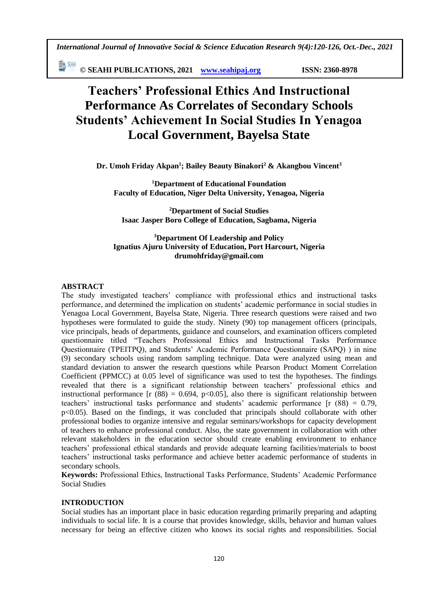*International Journal of Innovative Social & Science Education Research 9(4):120-126, Oct.-Dec., 2021*

勤細 **© SEAHI PUBLICATIONS, 2021 [www.seahipaj.org](http://www.seahipaj.org/) ISSN: 2360-8978**

# **Teachers' Professional Ethics And Instructional Performance As Correlates of Secondary Schools Students' Achievement In Social Studies In Yenagoa Local Government, Bayelsa State**

**Dr. Umoh Friday Akpan<sup>1</sup> ; Bailey Beauty Binakori<sup>2</sup> & Akangbou Vincent<sup>3</sup>**

**<sup>1</sup>Department of Educational Foundation Faculty of Education, Niger Delta University, Yenagoa, Nigeria**

**<sup>2</sup>Department of Social Studies Isaac Jasper Boro College of Education, Sagbama, Nigeria**

## **<sup>3</sup>Department Of Leadership and Policy Ignatius Ajuru University of Education, Port Harcourt, Nigeria drumohfriday@gmail.com**

## **ABSTRACT**

The study investigated teachers' compliance with professional ethics and instructional tasks performance, and determined the implication on students' academic performance in social studies in Yenagoa Local Government, Bayelsa State, Nigeria. Three research questions were raised and two hypotheses were formulated to guide the study. Ninety (90) top management officers (principals, vice principals, heads of departments, guidance and counselors, and examination officers completed questionnaire titled "Teachers Professional Ethics and Instructional Tasks Performance Questionnaire (TPEITPQ), and Students' Academic Performance Questionnaire (SAPQ) ) in nine (9) secondary schools using random sampling technique. Data were analyzed using mean and standard deviation to answer the research questions while Pearson Product Moment Correlation Coefficient (PPMCC) at 0.05 level of significance was used to test the hypotheses. The findings revealed that there is a significant relationship between teachers' professional ethics and instructional performance  $\int$ r (88) = 0.694, p<0.05], also there is significant relationship between teachers' instructional tasks performance and students' academic performance [r (88) = 0.79, p<0.05). Based on the findings, it was concluded that principals should collaborate with other professional bodies to organize intensive and regular seminars/workshops for capacity development of teachers to enhance professional conduct. Also, the state government in collaboration with other relevant stakeholders in the education sector should create enabling environment to enhance teachers' professional ethical standards and provide adequate learning facilities/materials to boost teachers' instructional tasks performance and achieve better academic performance of students in secondary schools.

**Keywords:** Professional Ethics, Instructional Tasks Performance, Students' Academic Performance Social Studies

## **INTRODUCTION**

Social studies has an important place in basic education regarding primarily preparing and adapting individuals to social life. It is a course that provides knowledge, skills, behavior and human values necessary for being an effective citizen who knows its social rights and responsibilities. Social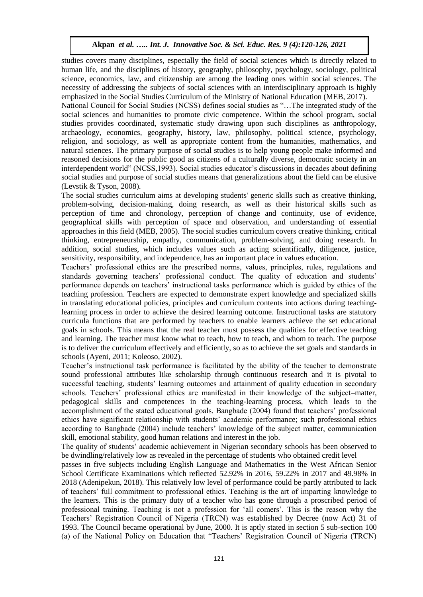studies covers many disciplines, especially the field of social sciences which is directly related to human life, and the disciplines of history, geography, philosophy, psychology, sociology, political science, economics, law, and citizenship are among the leading ones within social sciences. The necessity of addressing the subjects of social sciences with an interdisciplinary approach is highly emphasized in the Social Studies Curriculum of the Ministry of National Education (MEB, 2017).

National Council for Social Studies (NCSS) defines social studies as "…The integrated study of the social sciences and humanities to promote civic competence. Within the school program, social studies provides coordinated, systematic study drawing upon such disciplines as anthropology, archaeology, economics, geography, history, law, philosophy, political science, psychology, religion, and sociology, as well as appropriate content from the humanities, mathematics, and natural sciences. The primary purpose of social studies is to help young people make informed and reasoned decisions for the public good as citizens of a culturally diverse, democratic society in an interdependent world" (NCSS,1993). Social studies educator's discussions in decades about defining social studies and purpose of social studies means that generalizations about the field can be elusive (Levstik & Tyson, 2008).

The social studies curriculum aims at developing students' generic skills such as creative thinking, problem-solving, decision-making, doing research, as well as their historical skills such as perception of time and chronology, perception of change and continuity, use of evidence, geographical skills with perception of space and observation, and understanding of essential approaches in this field (MEB, 2005). The social studies curriculum covers creative thinking, critical thinking, entrepreneurship, empathy, communication, problem-solving, and doing research. In addition, social studies, which includes values such as acting scientifically, diligence, justice, sensitivity, responsibility, and independence, has an important place in values education.

Teachers' professional ethics are the prescribed norms, values, principles, rules, regulations and standards governing teachers' professional conduct. The quality of education and students' performance depends on teachers' instructional tasks performance which is guided by ethics of the teaching profession. Teachers are expected to demonstrate expert knowledge and specialized skills in translating educational policies, principles and curriculum contents into actions during teachinglearning process in order to achieve the desired learning outcome. Instructional tasks are statutory curricula functions that are performed by teachers to enable learners achieve the set educational goals in schools. This means that the real teacher must possess the qualities for effective teaching and learning. The teacher must know what to teach, how to teach, and whom to teach. The purpose is to deliver the curriculum effectively and efficiently, so as to achieve the set goals and standards in schools (Ayeni, 2011; Koleoso, 2002).

Teacher's instructional task performance is facilitated by the ability of the teacher to demonstrate sound professional attributes like scholarship through continuous research and it is pivotal to successful teaching, students' learning outcomes and attainment of quality education in secondary schools. Teachers' professional ethics are manifested in their knowledge of the subject–matter, pedagogical skills and competences in the teaching-learning process, which leads to the accomplishment of the stated educational goals. Bangbade (2004) found that teachers' professional ethics have significant relationship with students' academic performance; such professional ethics according to Bangbade (2004) include teachers' knowledge of the subject matter, communication skill, emotional stability, good human relations and interest in the job.

The quality of students' academic achievement in Nigerian secondary schools has been observed to be dwindling/relatively low as revealed in the percentage of students who obtained credit level

passes in five subjects including English Language and Mathematics in the West African Senior School Certificate Examinations which reflected 52.92% in 2016, 59.22% in 2017 and 49.98% in 2018 (Adenipekun, 2018). This relatively low level of performance could be partly attributed to lack of teachers' full commitment to professional ethics. Teaching is the art of imparting knowledge to the learners. This is the primary duty of a teacher who has gone through a proscribed period of professional training. Teaching is not a profession for 'all comers'. This is the reason why the Teachers' Registration Council of Nigeria (TRCN) was established by Decree (now Act) 31 of 1993. The Council became operational by June, 2000. It is aptly stated in section 5 sub-section 100 (a) of the National Policy on Education that "Teachers' Registration Council of Nigeria (TRCN)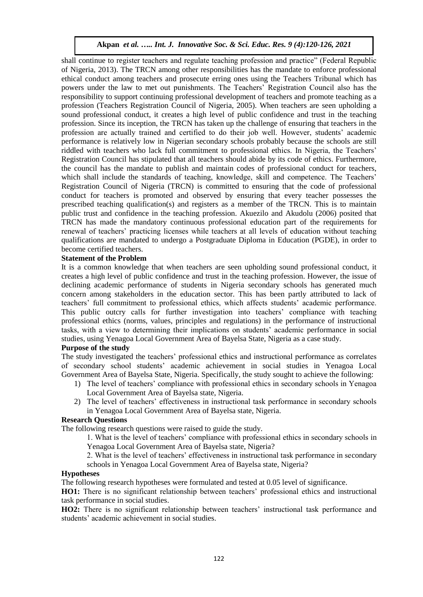shall continue to register teachers and regulate teaching profession and practice" (Federal Republic of Nigeria, 2013). The TRCN among other responsibilities has the mandate to enforce professional ethical conduct among teachers and prosecute erring ones using the Teachers Tribunal which has powers under the law to met out punishments. The Teachers' Registration Council also has the responsibility to support continuing professional development of teachers and promote teaching as a profession (Teachers Registration Council of Nigeria, 2005). When teachers are seen upholding a sound professional conduct, it creates a high level of public confidence and trust in the teaching profession. Since its inception, the TRCN has taken up the challenge of ensuring that teachers in the profession are actually trained and certified to do their job well. However, students' academic performance is relatively low in Nigerian secondary schools probably because the schools are still riddled with teachers who lack full commitment to professional ethics. In Nigeria, the Teachers' Registration Council has stipulated that all teachers should abide by its code of ethics. Furthermore, the council has the mandate to publish and maintain codes of professional conduct for teachers, which shall include the standards of teaching, knowledge, skill and competence. The Teachers' Registration Council of Nigeria (TRCN) is committed to ensuring that the code of professional conduct for teachers is promoted and observed by ensuring that every teacher possesses the prescribed teaching qualification(s) and registers as a member of the TRCN. This is to maintain public trust and confidence in the teaching profession. Akuezilo and Akudolu (2006) posited that TRCN has made the mandatory continuous professional education part of the requirements for renewal of teachers' practicing licenses while teachers at all levels of education without teaching qualifications are mandated to undergo a Postgraduate Diploma in Education (PGDE), in order to become certified teachers.

## **Statement of the Problem**

It is a common knowledge that when teachers are seen upholding sound professional conduct, it creates a high level of public confidence and trust in the teaching profession. However, the issue of declining academic performance of students in Nigeria secondary schools has generated much concern among stakeholders in the education sector. This has been partly attributed to lack of teachers' full commitment to professional ethics, which affects students' academic performance. This public outcry calls for further investigation into teachers' compliance with teaching professional ethics (norms, values, principles and regulations) in the performance of instructional tasks, with a view to determining their implications on students' academic performance in social studies, using Yenagoa Local Government Area of Bayelsa State, Nigeria as a case study.

## **Purpose of the study**

The study investigated the teachers' professional ethics and instructional performance as correlates of secondary school students' academic achievement in social studies in Yenagoa Local Government Area of Bayelsa State, Nigeria. Specifically, the study sought to achieve the following:

- 1) The level of teachers' compliance with professional ethics in secondary schools in Yenagoa Local Government Area of Bayelsa state, Nigeria.
- 2) The level of teachers' effectiveness in instructional task performance in secondary schools in Yenagoa Local Government Area of Bayelsa state, Nigeria.

#### **Research Questions**

The following research questions were raised to guide the study.

1. What is the level of teachers' compliance with professional ethics in secondary schools in Yenagoa Local Government Area of Bayelsa state, Nigeria?

2. What is the level of teachers' effectiveness in instructional task performance in secondary schools in Yenagoa Local Government Area of Bayelsa state, Nigeria?

#### **Hypotheses**

The following research hypotheses were formulated and tested at 0.05 level of significance.

**HO1:** There is no significant relationship between teachers' professional ethics and instructional task performance in social studies.

**HO2:** There is no significant relationship between teachers' instructional task performance and students' academic achievement in social studies.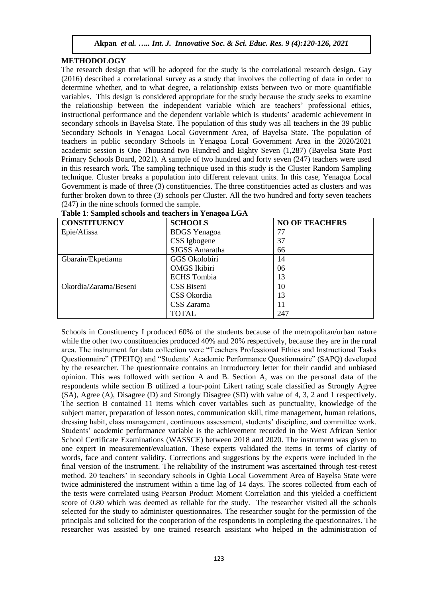## **METHODOLOGY**

The research design that will be adopted for the study is the correlational research design. Gay (2016) described a correlational survey as a study that involves the collecting of data in order to determine whether, and to what degree, a relationship exists between two or more quantifiable variables. This design is considered appropriate for the study because the study seeks to examine the relationship between the independent variable which are teachers' professional ethics, instructional performance and the dependent variable which is students' academic achievement in secondary schools in Bayelsa State. The population of this study was all teachers in the 39 public Secondary Schools in Yenagoa Local Government Area, of Bayelsa State. The population of teachers in public secondary Schools in Yenagoa Local Government Area in the 2020/2021 academic session is One Thousand two Hundred and Eighty Seven (1,287) (Bayelsa State Post Primary Schools Board, 2021). A sample of two hundred and forty seven (247) teachers were used in this research work. The sampling technique used in this study is the Cluster Random Sampling technique. Cluster breaks a population into different relevant units. In this case, Yenagoa Local Government is made of three (3) constituencies. The three constituencies acted as clusters and was further broken down to three (3) schools per Cluster. All the two hundred and forty seven teachers (247) in the nine schools formed the sample.

| <b>CONSTITUENCY</b>   | <b>SCHOOLS</b>      | <b>NO OF TEACHERS</b> |
|-----------------------|---------------------|-----------------------|
| Epie/Afissa           | <b>BDGS</b> Yenagoa | 77                    |
|                       | CSS Igbogene        | 37                    |
|                       | SJGSS Amaratha      | 66                    |
| Gbarain/Ekpetiama     | GGS Okolobiri       | 14                    |
|                       | <b>OMGS</b> Ikibiri | 06                    |
|                       | <b>ECHS</b> Tombia  | 13                    |
| Okordia/Zarama/Beseni | CSS Biseni          | 10                    |
|                       | CSS Okordia         | 13                    |
|                       | CSS Zarama          | 11                    |
|                       | TOTAL               | 247                   |

| Table 1: Sampled schools and teachers in Yenagoa LGA |
|------------------------------------------------------|
|------------------------------------------------------|

Schools in Constituency I produced 60% of the students because of the metropolitan/urban nature while the other two constituencies produced 40% and 20% respectively, because they are in the rural area. The instrument for data collection were "Teachers Professional Ethics and Instructional Tasks Questionnaire" (TPEITQ) and "Students' Academic Performance Questionnaire" (SAPQ) developed by the researcher. The questionnaire contains an introductory letter for their candid and unbiased opinion. This was followed with section A and B. Section A, was on the personal data of the respondents while section B utilized a four-point Likert rating scale classified as Strongly Agree (SA), Agree (A), Disagree (D) and Strongly Disagree (SD) with value of 4, 3, 2 and 1 respectively. The section B contained 11 items which cover variables such as punctuality, knowledge of the subject matter, preparation of lesson notes, communication skill, time management, human relations, dressing habit, class management, continuous assessment, students' discipline, and committee work. Students' academic performance variable is the achievement recorded in the West African Senior School Certificate Examinations (WASSCE) between 2018 and 2020. The instrument was given to one expert in measurement/evaluation. These experts validated the items in terms of clarity of words, face and content validity. Corrections and suggestions by the experts were included in the final version of the instrument. The reliability of the instrument was ascertained through test-retest method. 20 teachers' in secondary schools in Ogbia Local Government Area of Bayelsa State were twice administered the instrument within a time lag of 14 days. The scores collected from each of the tests were correlated using Pearson Product Moment Correlation and this yielded a coefficient score of 0.80 which was deemed as reliable for the study. The researcher visited all the schools selected for the study to administer questionnaires. The researcher sought for the permission of the principals and solicited for the cooperation of the respondents in completing the questionnaires. The researcher was assisted by one trained research assistant who helped in the administration of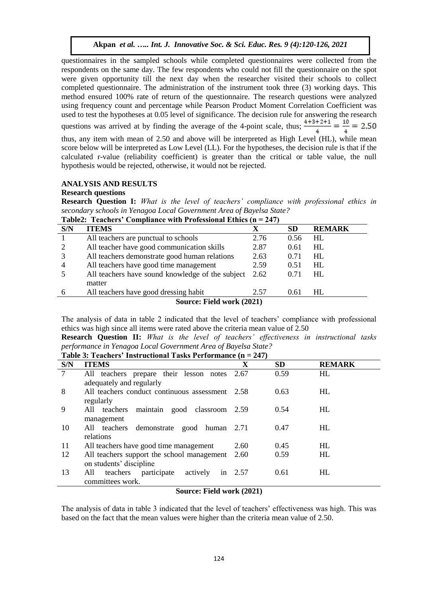questionnaires in the sampled schools while completed questionnaires were collected from the respondents on the same day. The few respondents who could not fill the questionnaire on the spot were given opportunity till the next day when the researcher visited their schools to collect completed questionnaire. The administration of the instrument took three (3) working days. This method ensured 100% rate of return of the questionnaire. The research questions were analyzed using frequency count and percentage while Pearson Product Moment Correlation Coefficient was used to test the hypotheses at 0.05 level of significance. The decision rule for answering the research questions was arrived at by finding the average of the 4-point scale, thus;  $\frac{4+3+2+1}{4} = \frac{10}{4} = 2.50$ thus, any item with mean of 2.50 and above will be interpreted as High Level (HL), while mean score below will be interpreted as Low Level (LL). For the hypotheses, the decision rule is that if the calculated r-value (reliability coefficient) is greater than the critical or table value, the null hypothesis would be rejected, otherwise, it would not be rejected.

# **ANALYSIS AND RESULTS**

## **Research questions**

**Research Question I:** *What is the level of teachers' compliance with professional ethics in secondary schools in Yenagoa Local Government Area of Bayelsa State?*

| Teachers Compliance with Froicssional Ethics |                                                  |      |           |               |  |  |  |  |
|----------------------------------------------|--------------------------------------------------|------|-----------|---------------|--|--|--|--|
| S/N                                          | <b>ITEMS</b>                                     | X    | <b>SD</b> | <b>REMARK</b> |  |  |  |  |
|                                              | All teachers are punctual to schools             | 2.76 | 0.56      | HL            |  |  |  |  |
| 2                                            | All teacher have good communication skills       | 2.87 | 0.61      | HL.           |  |  |  |  |
|                                              | All teachers demonstrate good human relations    | 2.63 | 0.71      | HL            |  |  |  |  |
| $\overline{4}$                               | All teachers have good time management           | 2.59 | 0.51      | HL            |  |  |  |  |
|                                              | All teachers have sound knowledge of the subject | 2.62 | 0.71      | HL            |  |  |  |  |
|                                              | matter                                           |      |           |               |  |  |  |  |
| 6                                            | All teachers have good dressing habit            | 2.57 | 0.61      | HL            |  |  |  |  |
| Source: Field work (2021)                    |                                                  |      |           |               |  |  |  |  |

**Table2: Teachers' Compliance with Professional Ethics (n = 247)**

The analysis of data in table 2 indicated that the level of teachers' compliance with professional ethics was high since all items were rated above the criteria mean value of 2.50

**Research Question II:** *What is the level of teachers' effectiveness in instructional tasks performance in Yenagoa Local Government Area of Bayelsa State?*

**Table 3: Teachers' Instructional Tasks Performance (n = 247)**

| $1000$ $\sigma$ $\sim$ $1000$ $\sigma$ $\sim$ $100$ $\sigma$ $\sim$ $1000$ $\sigma$ $\sim$ $100$ |                                                  |      |           |               |  |  |  |  |  |
|--------------------------------------------------------------------------------------------------|--------------------------------------------------|------|-----------|---------------|--|--|--|--|--|
| S/N                                                                                              | <b>ITEMS</b>                                     | X    | <b>SD</b> | <b>REMARK</b> |  |  |  |  |  |
| 7                                                                                                | All teachers prepare their lesson notes 2.67     |      | 0.59      | HL            |  |  |  |  |  |
|                                                                                                  | adequately and regularly                         |      |           |               |  |  |  |  |  |
| 8                                                                                                | All teachers conduct continuous assessment 2.58  |      | 0.63      | <b>HL</b>     |  |  |  |  |  |
|                                                                                                  | regularly                                        |      |           |               |  |  |  |  |  |
| 9                                                                                                | All teachers<br>maintain good classroom 2.59     |      | 0.54      | HL            |  |  |  |  |  |
|                                                                                                  | management                                       |      |           |               |  |  |  |  |  |
| 10                                                                                               | All teachers demonstrate good human 2.71         |      | 0.47      | HL            |  |  |  |  |  |
|                                                                                                  | relations                                        |      |           |               |  |  |  |  |  |
| 11                                                                                               | All teachers have good time management           | 2.60 | 0.45      | <b>HL</b>     |  |  |  |  |  |
| 12                                                                                               | All teachers support the school management       | 2.60 | 0.59      | HL            |  |  |  |  |  |
|                                                                                                  | on students' discipline                          |      |           |               |  |  |  |  |  |
| 13                                                                                               | participate<br>All<br>teachers<br>actively<br>in | 2.57 | 0.61      | <b>HL</b>     |  |  |  |  |  |
| committees work.                                                                                 |                                                  |      |           |               |  |  |  |  |  |
|                                                                                                  |                                                  |      |           |               |  |  |  |  |  |

# **Source: Field work (2021)**

The analysis of data in table 3 indicated that the level of teachers' effectiveness was high. This was based on the fact that the mean values were higher than the criteria mean value of 2.50.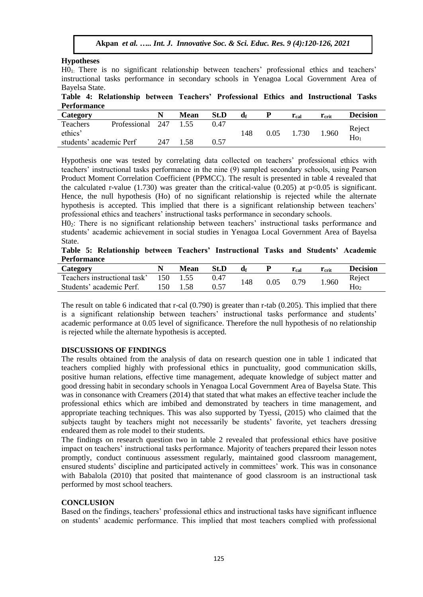## **Hypotheses**

H01: There is no significant relationship between teachers' professional ethics and teachers' instructional tasks performance in secondary schools in Yenagoa Local Government Area of Bayelsa State.

## **Table 4: Relationship between Teachers' Professional Ethics and Instructional Tasks Performance**

| --------------          |                  |     |             |      |     |      |           |                |                           |
|-------------------------|------------------|-----|-------------|------|-----|------|-----------|----------------|---------------------------|
| Category                |                  |     | <b>Mean</b> | St.D | ۵f  |      | $r_{cal}$ | $r_{\rm crit}$ | <b>Decision</b>           |
| Teachers                | Professional 247 |     | 1.55        | 0.47 |     |      |           |                |                           |
| ethics'                 |                  |     |             |      | 148 | 0.05 | 1.730     | 1.960          | Reject<br>Ho <sub>1</sub> |
| students' academic Perf |                  | 247 | .58         | 0.57 |     |      |           |                |                           |

Hypothesis one was tested by correlating data collected on teachers' professional ethics with teachers' instructional tasks performance in the nine (9) sampled secondary schools, using Pearson Product Moment Correlation Coefficient (PPMCC). The result is presented in table 4 revealed that the calculated r-value  $(1.730)$  was greater than the critical-value  $(0.205)$  at p $<0.05$  is significant. Hence, the null hypothesis (Ho) of no significant relationship is rejected while the alternate hypothesis is accepted. This implied that there is a significant relationship between teachers' professional ethics and teachers' instructional tasks performance in secondary schools.

H02: There is no significant relationship between teachers' instructional tasks performance and students' academic achievement in social studies in Yenagoa Local Government Area of Bayelsa State.

**Table 5: Relationship between Teachers' Instructional Tasks and Students' Academic Performance**

| Category                     |     | <b>Mean</b> | St.D |     |      | $r_{cal}$ | $r_{\rm crit}$ | <b>Decision</b> |
|------------------------------|-----|-------------|------|-----|------|-----------|----------------|-----------------|
| Teachers instructional task' | 150 |             | 0.47 | 148 | 0.05 | 0.79      | 1.960          | Reject          |
| Students' academic Perf.     | 150 |             | 0.57 |     |      |           |                | Ho <sub>2</sub> |

The result on table 6 indicated that r-cal (0.790) is greater than r-tab (0.205). This implied that there is a significant relationship between teachers' instructional tasks performance and students' academic performance at 0.05 level of significance. Therefore the null hypothesis of no relationship is rejected while the alternate hypothesis is accepted.

# **DISCUSSIONS OF FINDINGS**

The results obtained from the analysis of data on research question one in table 1 indicated that teachers complied highly with professional ethics in punctuality, good communication skills, positive human relations, effective time management, adequate knowledge of subject matter and good dressing habit in secondary schools in Yenagoa Local Government Area of Bayelsa State. This was in consonance with Creamers (2014) that stated that what makes an effective teacher include the professional ethics which are imbibed and demonstrated by teachers in time management, and appropriate teaching techniques. This was also supported by Tyessi, (2015) who claimed that the subjects taught by teachers might not necessarily be students' favorite, yet teachers dressing endeared them as role model to their students.

The findings on research question two in table 2 revealed that professional ethics have positive impact on teachers' instructional tasks performance. Majority of teachers prepared their lesson notes promptly, conduct continuous assessment regularly, maintained good classroom management, ensured students' discipline and participated actively in committees' work. This was in consonance with Babalola (2010) that posited that maintenance of good classroom is an instructional task performed by most school teachers.

# **CONCLUSION**

Based on the findings, teachers' professional ethics and instructional tasks have significant influence on students' academic performance. This implied that most teachers complied with professional